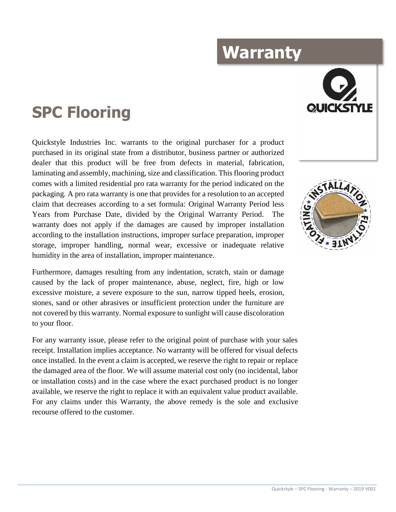## **Warranty**

## **SPC Flooring**

Quickstyle Industries Inc. warrants to the original purchaser for a product purchased in its original state from a distributor, business partner or authorized dealer that this product will be free from defects in material, fabrication, laminating and assembly, machining, size and classification. This flooring product comes with a limited residential pro rata warranty for the period indicated on the packaging. A pro rata warranty is one that provides for a resolution to an accepted claim that decreases according to a set formula: Original Warranty Period less Years from Purchase Date, divided by the Original Warranty Period. The warranty does not apply if the damages are caused by improper installation according to the installation instructions, improper surface preparation, improper storage, improper handling, normal wear, excessive or inadequate relative humidity in the area of installation, improper maintenance.

Furthermore, damages resulting from any indentation, scratch, stain or damage caused by the lack of proper maintenance, abuse, neglect, fire, high or low excessive moisture, a severe exposure to the sun, narrow tipped heels, erosion, stones, sand or other abrasives or insufficient protection under the furniture are not covered by this warranty. Normal exposure to sunlight will cause discoloration to your floor.

For any warranty issue, please refer to the original point of purchase with your sales receipt. Installation implies acceptance. No warranty will be offered for visual defects once installed. In the event a claim is accepted, we reserve the right to repair or replace the damaged area of the floor. We will assume material cost only (no incidental, labor or installation costs) and in the case where the exact purchased product is no longer available, we reserve the right to replace it with an equivalent value product available. For any claims under this Warranty, the above remedy is the sole and exclusive recourse offered to the customer.